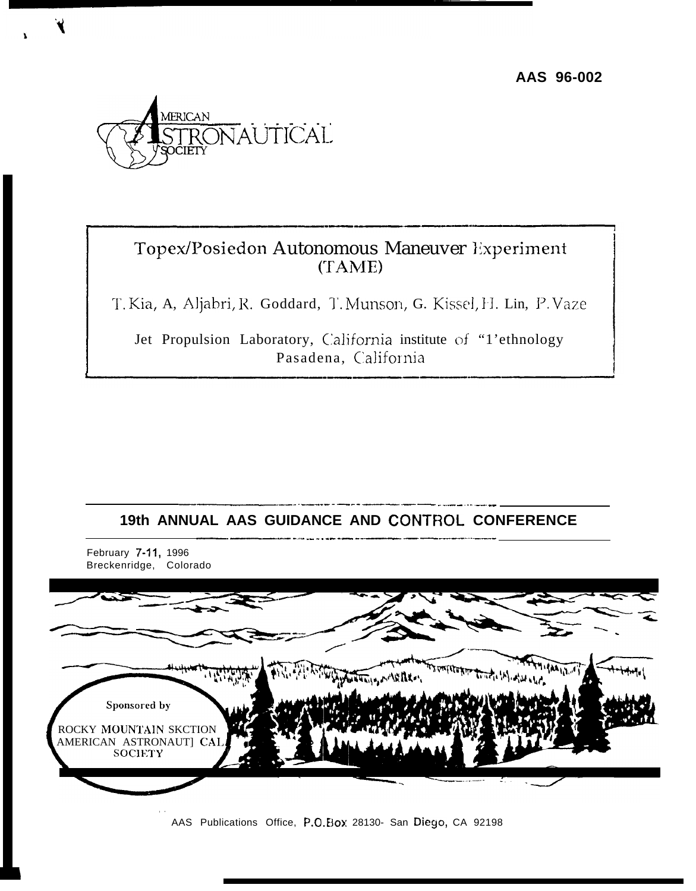**AAS 96-002**



# Topex/Posiedon Autonomous Maneuver Experiment  $(TAME)$

T. Kia, A, Aljabri, R. Goddard, T. Munson, G. Kissel, H. Lin, P. Vaze

Jet Propulsion Laboratory, California institute of "1'ethnology Pasadena, California

# .———.—.. -—---- —--- —— —— .. —.— — . . .. —— -- 19th ANNUAL AAS GUIDANCE AND CONTROL CONFERENCE



AAS Publications Office, P.O. Box 28130- San Diego, CA 92198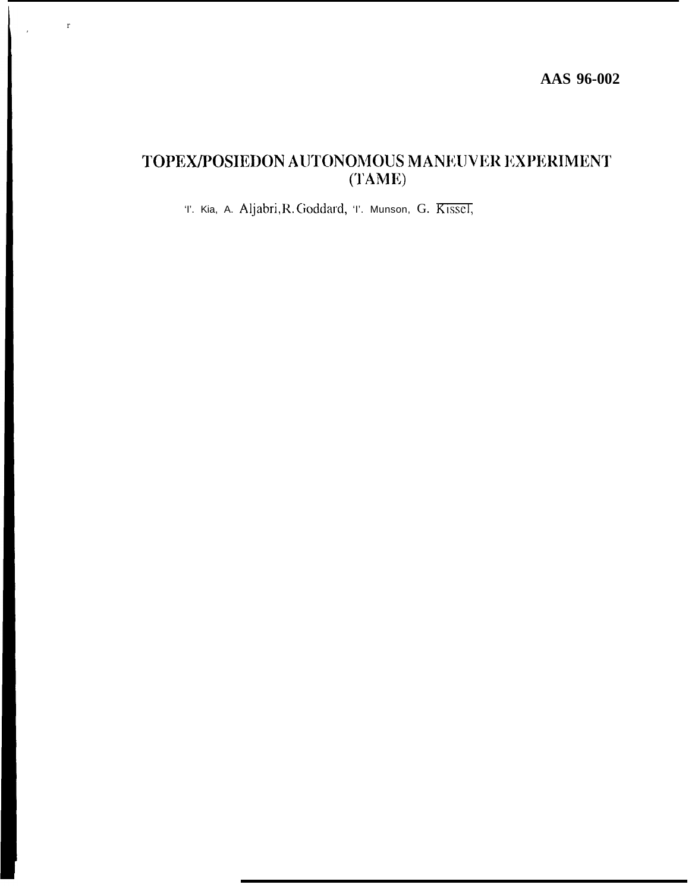AAS 96-002

# TOPEX/POSIEDON AUTONOMOUS MANEUVER EXPERIMENT  $(TAME)$

T. Kia, A. Aljabri, R. Goddard, T. Munson, G. Kissel,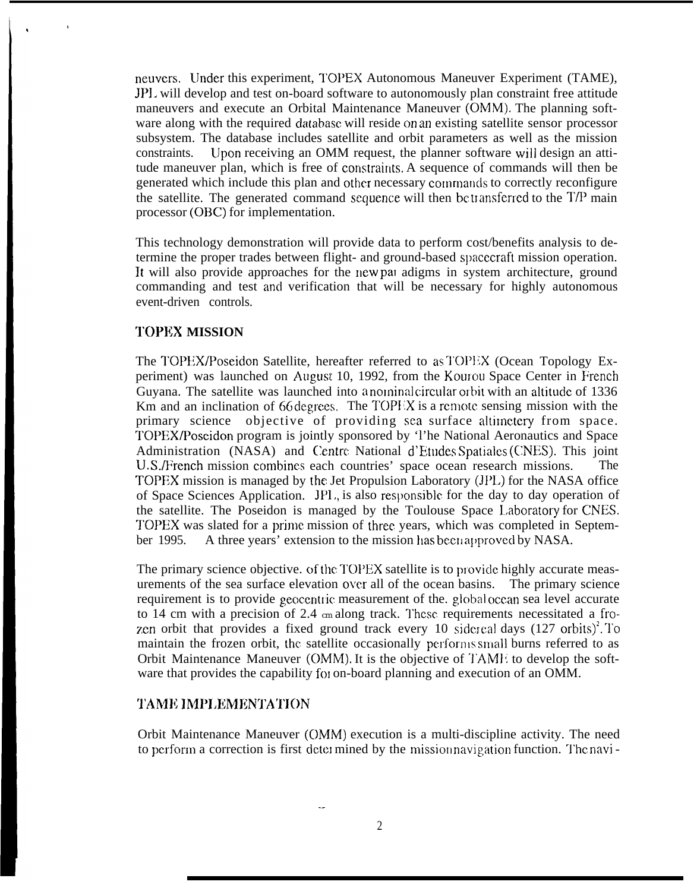neuvcrs. lJnder this experiment, I'OPEX Autonomous Maneuver Experiment (TAME), JPI. will develop and test on-board software to autonomously plan constraint free attitude maneuvers and execute an Orbital Maintenance Maneuver (OMM). The planning software along with the required database will reside on an existing satellite sensor processor subsystem. The database includes satellite and orbit parameters as well as the mission constraints. Upon receiving an OMM request, the planner software will design an attitude maneuver plan, which is free of constraints. A sequence of commands will then be generated which include this plan and other necessary commands to correctly reconfigure the satellite. The generated command sequence will then be transferred to the  $T/P$  main processor (OBC) for implementation.

This technology demonstration will provide data to perform cost/benefits analysis to determine the proper trades between flight- and ground-based spacecraft mission operation. It will also provide approaches for the new pal adigms in system architecture, ground commanding and test and verification that will be necessary for highly autonomous event-driven controls.

#### **TOPEX MISSION**

The TOPEX/Poseidon Satellite, hereafter referred to as TOPEX (Ocean Topology Experiment) was launched on August 10, 1992, from the Kourou Space Center in French Guyana. The satellite was launched into a nominal circular orbit with an altitude of 1336 Km and an inclination of 66 degrees. The TOPEX is a remote sensing mission with the primary science objective of providing sea surface altimetery from space. TOPEX/Poseidon program is jointly sponsored by 'l'he National Aeronautics and Space Administration (NASA) and Centre National d'Etudes Spatiales (CNES). This joint U. S./French mission combines each countries' space ocean research missions. The TOPEX mission is managed by the Jet Propulsion Laboratory (JPL) for the NASA office of Space Sciences Application. JPL, is also responsible for the day to day operation of the satellite. The Poseidon is managed by the Toulouse Space Laboratory for CNES. TOPEX was slated for a prime mission of three years, which was completed in September 1995. A three years' extension to the mission has been approved by NASA.

The primary science objective. of the TOPEX satellite is to provide highly accurate measurements of the sea surface elevation over all of the ocean basins. The primary science requirement is to provide geocentric measurement of the. global ocean sea level accurate to 14 cm with a precision of 2.4  $\epsilon$ m along track. These requirements necessitated a frozen orbit that provides a fixed ground track every 10 sidereal days  $(127 \text{ orbits})^2$ . To maintain the frozen orbit, the satellite occasionally performs small burns referred to as Orbit Maintenance Maneuver (OMM). It is the objective of TAME to develop the software that provides the capability fol on-board planning and execution of an OMM.

#### **TAME IMPLEMENTATION**

Orbit Maintenance Maneuver (OMM) execution is a multi-discipline activity. The need to perform a correction is first determined by the mission navigation function. The navi-

--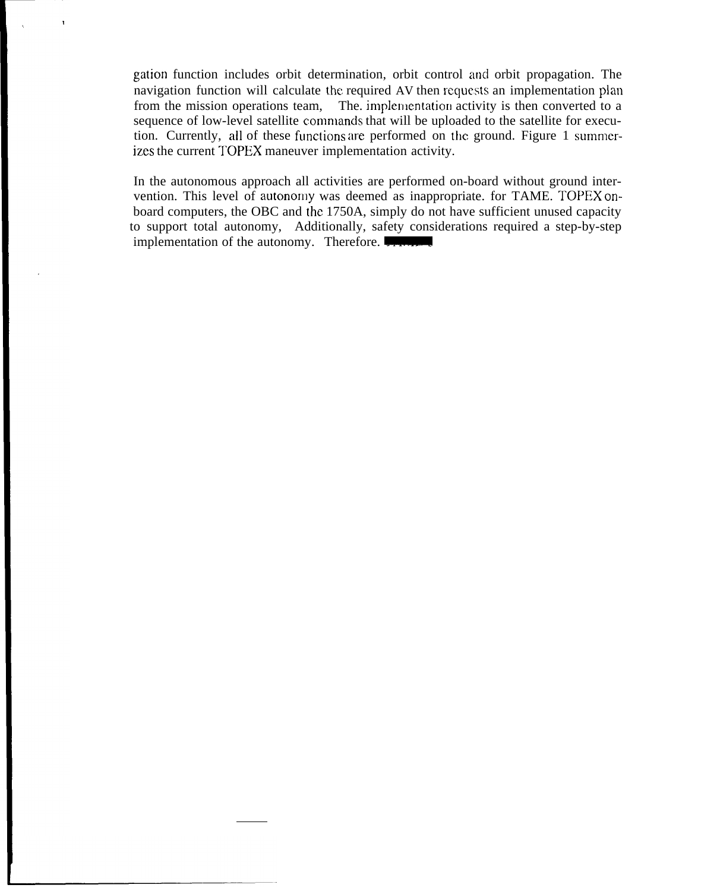gation function includes orbit determination, orbit control and orbit propagation. The navigation function will calculate the required AV then requests an implementation plan from the mission operations team, The. implementation activity is then converted to a sequence of low-level satellite commands that will be uploaded to the satellite for execution. Currently, all of these functions are performed on the ground. Figure 1 summerizes the current TOPEX maneuver implementation activity.

In the autonomous approach all activities are performed on-board without ground intervention. This level of autonomy was deemed as inappropriate. for TAME. TOPEX onboard computers, the OBC and the 1750A, simply do not have sufficient unused capacity to support total autonomy, Additionally, safety considerations required a step-by-step implementation of the autonomy. Therefore.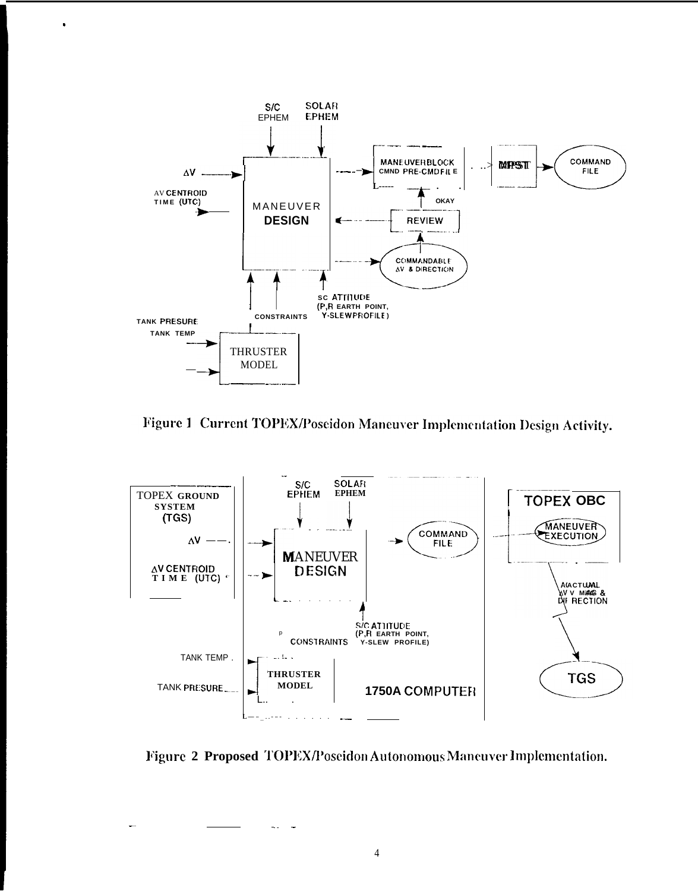

Figure 1 Current TOPEX/Poseidon Maneuver Implementation Design Activity.



Figure 2 Proposed TOPEX/Poseidon Autonomous Maneuver Implementation.

 $\overline{4}$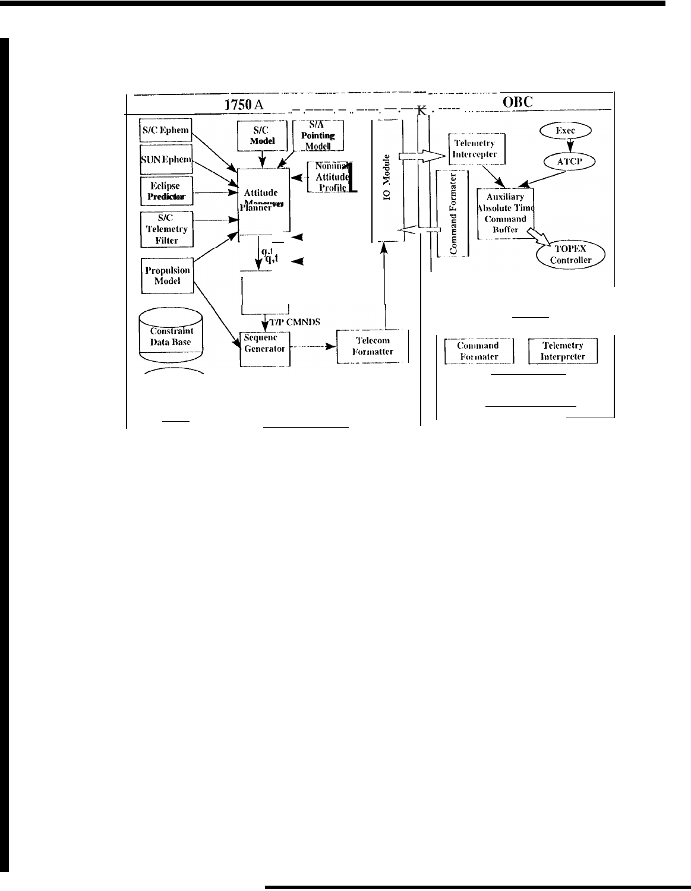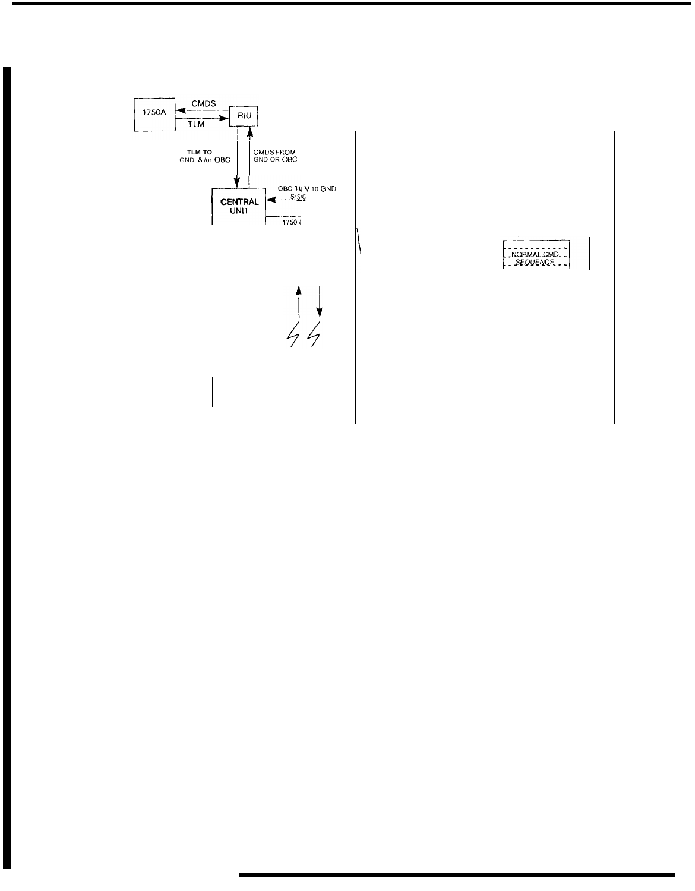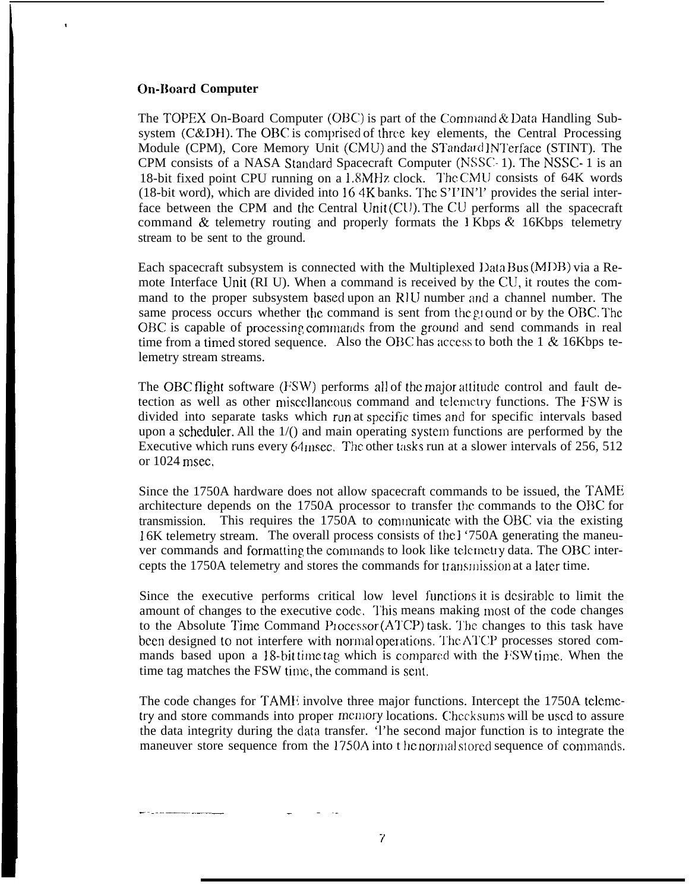#### **On-Board Computer**

,

The TOPEX On-Board Computer (OBC) is part of the Command & Data Handling Subsystem  $(C&DH)$ . The OBC is comprised of three key elements, the Central Processing Module (CPM), Core Memory Unit (CMU) and the STandard INTerface (STINT). The CPM consists of a NASA Standard Spacecraft Computer (NSSC- 1). The NSSC- 1 is an 18-bit fixed point CPU running on a 1.8MHz clock. The CMU consists of 64K words (18-bit word), which are divided into 164K banks. The S'I'IN'l' provides the serial interface between the CPM and the Central Unit  $(CU)$ . The CU performs all the spacecraft command & telemetry routing and properly formats the 1 Kbps & 16Kbps telemetry stream to be sent to the ground.

Each spacecraft subsystem is connected with the Multiplexed Data Bus (MDB) via a Remote Interface Unit (RI U). When a command is received by the CU, it routes the command to the proper subsystem based upon an RIU number and a channel number. The same process occurs whether the command is sent from the ground or by the OBC. The OBC is capable of processing commands from the ground and send commands in real time from a timed stored sequence. Also the OBC has access to both the  $1 \& 16Kbps$  telemetry stream streams.

The OBC flight software (FSW) performs all of the major attitude control and fault detection as well as other miscellaneous command and telemetry functions. The FSW is divided into separate tasks which run at spccifjc times and for specific intervals based upon a scheduler. All the  $1/()$  and main operating system functions are performed by the Executive which runs every  $64$  msec. The other tasks run at a slower intervals of 256, 512 or 1024 msec.

Since the 1750A hardware does not allow spacecraft commands to be issued, the TAME! architecture depends on the 1750A processor to transfer the commands to the OBC for transmission. This requires the 1750A to communicate with the OBC via the existing 1 6K telemetry stream. The overall process consists of the 1 '750A generating the maneuver commands and formatting the commands to look like telemetry data. The OBC intercepts the 1750A telemetry and stores the commands for transmission at a later time.

Since the executive performs critical low level functions it is desirable to limit the amount of changes to the executive code. This means making most of the code changes to the Absolute Time Command Processor  $(ATCP)$  task. The changes to this task have been designed to not interfere with normal operations. The ATCP processes stored commands based upon a 18-bit time tag which is compared with the FSW time. When the time tag matches the FSW time, the command is sent,

The code changes for TAME involve three major functions. Intercept the 1750A telcmetry and store commands into proper memory locations. Checksums will be used to assure the data integrity during the clata transfer. 'l'he second major function is to integrate the maneuver store sequence from the 1750A into t he normal stored sequence of commands.

.. . . .. —. —.—\_ — . . .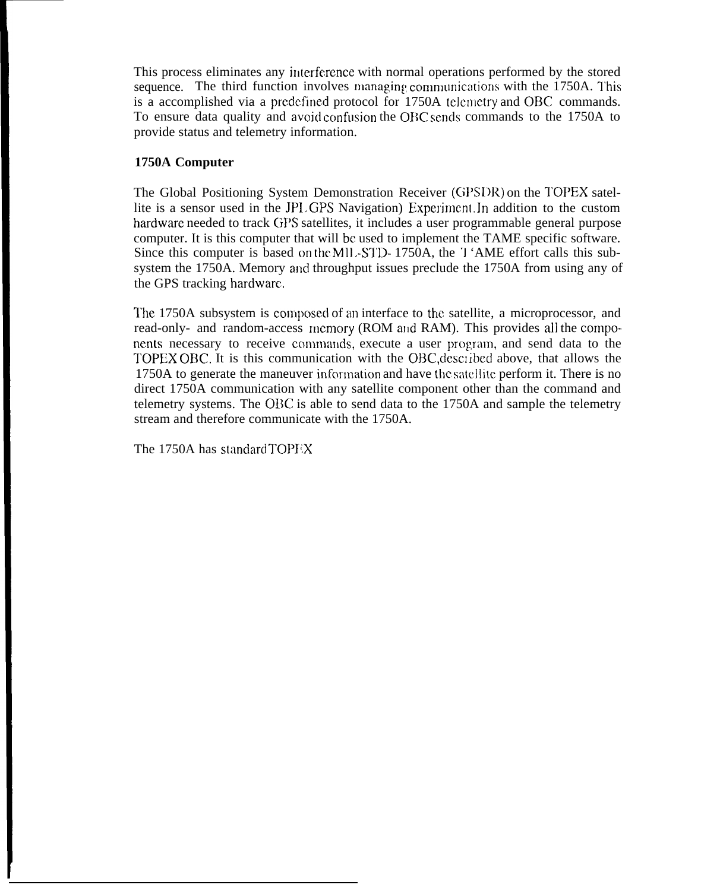This process eliminates any interference with normal operations performed by the stored sequence. The third function involves managing communications with the 1750A. This is a accomplished via a predefined protocol for 1750A telemetry and OBC commands. To ensure data quality and avoid confusion the OBC sends commands to the 1750A to provide status and telemetry information.

### **1750A Computer**

The Global Positioning System Demonstration Receiver (GPSI)R) on the TOPEX satellite is a sensor used in the JPL GPS Navigation) Experiment. In addition to the custom hardware needed to track GPS satellites, it includes a user programmable general purpose computer. It is this computer that will be used to implement the TAME specific software. Since this computer is based on the MII.-STD-1750A, the '1 'AME effort calls this subsystem the 1750A. Memory and throughput issues preclude the 1750A from using any of the GPS tracking hardware.

The 1750A subsystem is composed of an interface to the satellite, a microprocessor, and read-only- and random-access memory (ROM and RAM). This provides all the components necessary to receive commands, execute a user program, and send data to the TOPEX OBC. It is this communication with the OBC, described above, that allows the 1750A to generate the maneuver informaticm and have the satellite perform it. There is no direct 1750A communication with any satellite component other than the command and telemetry systems. The OBC is able to send data to the 1750A and sample the telemetry stream and therefore communicate with the 1750A.

The 1750A has standard TOPEX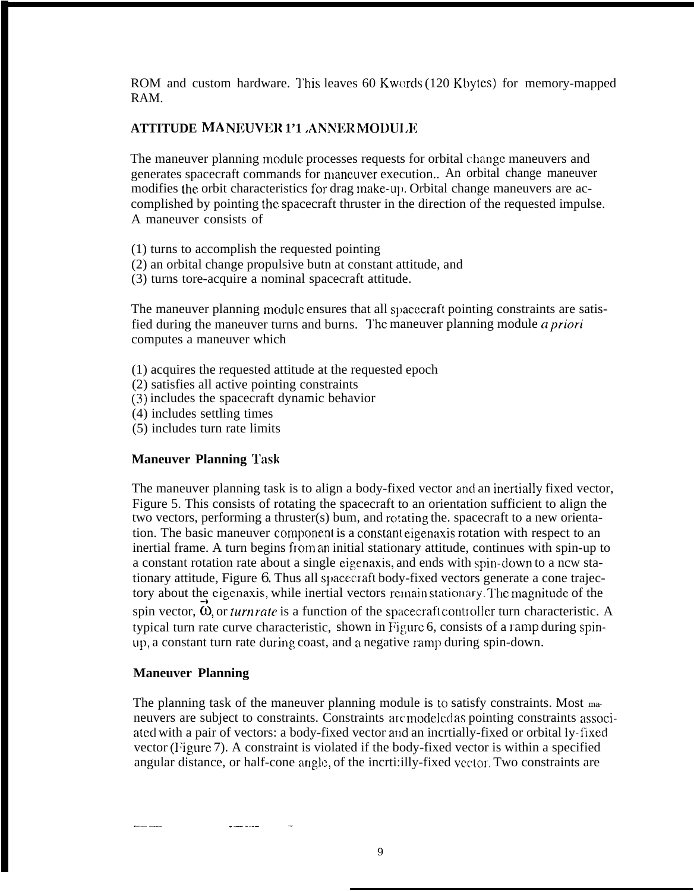ROM and custom hardware. This leaves 60 Kwords (120 Kbytes) for memory-mapped RAM.

# **ATTITUDE MA NEUVI!R 1'1 .ANIWR MODU1 JR**

The maneuver planning module processes requests for orbital change maneuvers and generates spacecraft commands for maneuver execution.. An orbital change maneuver modifies the orbit characteristics for drag make-up. Orbital change maneuvers are accomplished by pointing the spacecraft thruster in the direction of the requested impulse. A maneuver consists of

- (1) turns to accomplish the requested pointing
- (2) an orbital change propulsive butn at constant attitude, and
- (3) turns tore-acquire a nominal spacecraft attitude.

The maneuver planning module ensures that all spacecraft pointing constraints are satisfied during the maneuver turns and burns. The maneuver planning module *a priori* computes a maneuver which

- (1) acquires the requested attitude at the requested epoch
- (2) satisfies all active pointing constraints
- (3) includes the spacecraft dynamic behavior
- (4) includes settling times
- (5) includes turn rate limits

## **Maneuver Planning 'lask**

The maneuver planning task is to align a body-fixed vector ancl an inertially fixed vector, Figure 5. This consists of rotating the spacecraft to an orientation sufficient to align the two vectors, performing a thruster(s) bum, and rotating the. spacecraft to a new orientation. The basic maneuver component is a constant eigenaxis rotation with respect to an inertial frame. A turn begins from an initial stationary attitude, continues with spin-up to a constant rotation rate about a single eigenaxis, and ends with spin-down to a ncw stationary attitude, Figure 6. Thus all spacecraft body-fixed vectors generate a cone trajectory about the eigenaxis, while inertial vectors remain stationary. The magnitude of the spin vector,  $\hat{\omega}$ , or *turn rate* is a function of the spacecraft controller turn characteristic. A typical turn rate curve characteristic, shown in Figure 6, consists of a ramp during spinup, a constant turn rate during coast, and a negative ramp during spin-down.

### **Maneuver Planning**

\_—— \_.\_. .—. -.-— —

The planning task of the maneuver planning module is to satisfy constraints. Most maneuvers are subject to constraints. Constraints are modeled as pointing constraints associ-ated with a pair of vectors: a body-fixed vector and an incrtially-fixed or orbital ly-fixed vector (Figure 7). A constraint is violated if the body-fixed vector is within a specified angular distance, or half-cone angle, of the incrti:illy-fixed vector. Two constraints are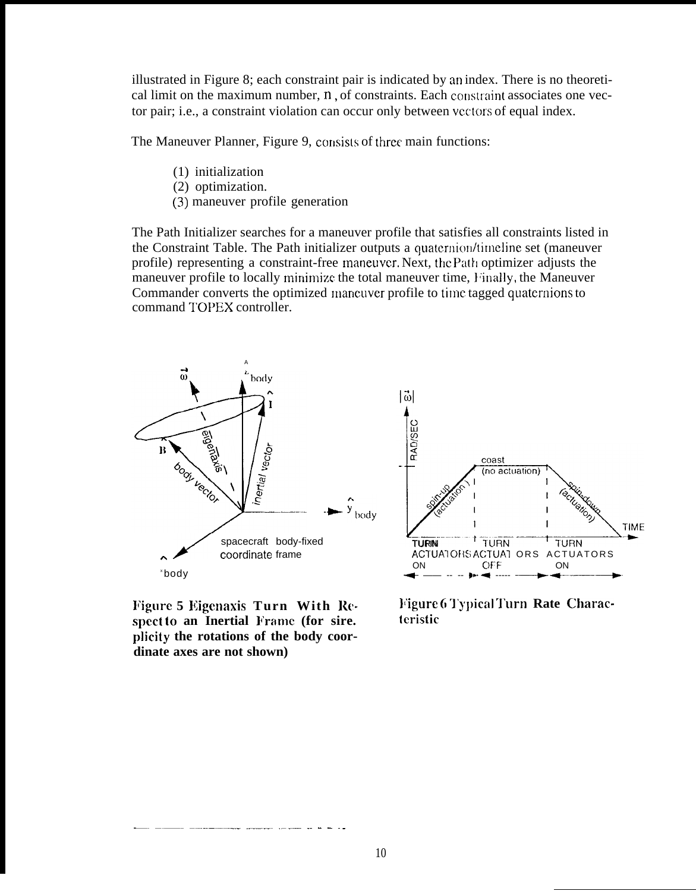illustrated in Figure 8; each constraint pair is indicated by an index. There is no theoretical limit on the maximum number,  $n$ , of constraints. Each constraint associates one vector pair; i.e., a constraint violation can occur only between vectors of equal index.

The Maneuver Planner, Figure 9, consists of three main functions:

- (1) initialization
- (2) optimization.
- (3) maneuver profile generation

The Path Initializer searches for a maneuver profile that satisfies all constraints listed in the Constraint Table. The Path initializer outputs a quaternion/timeline set (maneuver profile) representing a constraint-free maneuver. Next, the Path optimizer adjusts the maneuver profile to locally minimize the total maneuver time, Finally, the Maneuver Commander converts the optimized lnancuver profile to time tagged quaternions to command TOPEX controller.



**spect to an Inertial Frame (for sire. plicity the rotations of the body coordinate axes are not shown)**

\_. ——— —\_\_\_\_\_ \_\_\_\_ \_\_\_\_ .— - . —\_



**ligure 5 Eigenaxis Turn With Re-**<br> **ligure 6** Typical Turn Rate Charac-<br> **spect to an Inertial** Frame (for sire, <br> **leristic**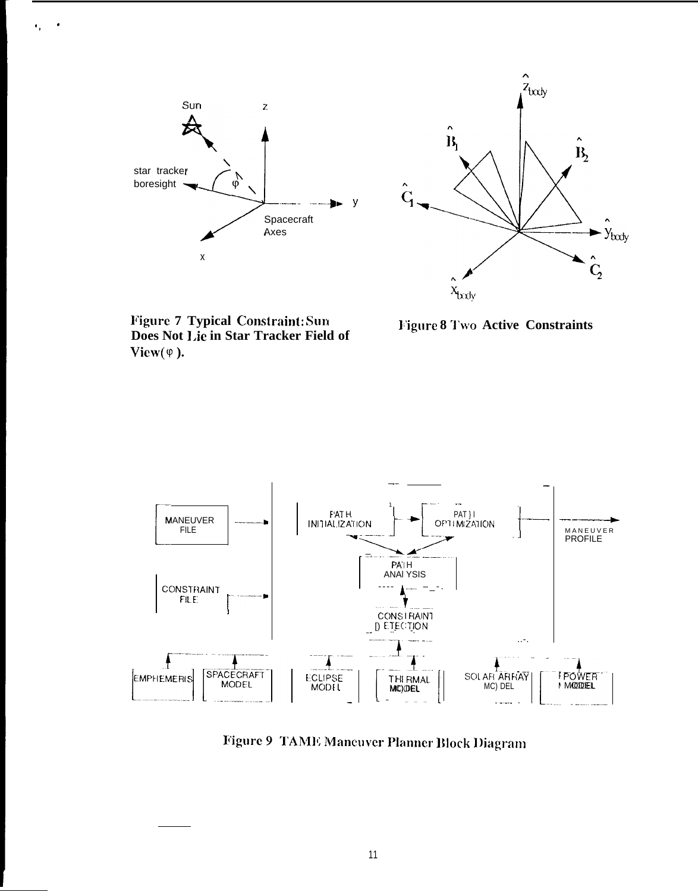



Figure 7 Typical Constraint: Sun<br>Does Not Lie in Star Tracker Field of View $(\varphi)$ .

Figure 8 Two Active Constraints



Figure 9 TAME Maneuver Planner Block Diagram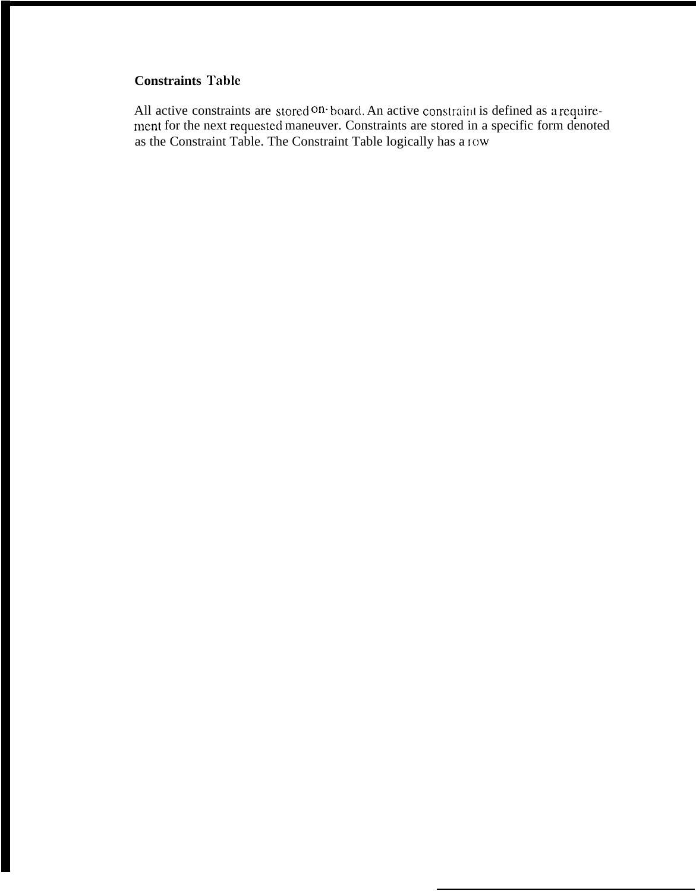# **Constraints Table**

All active constraints are stored on board. An active constraint is defined as a requirement for the next requested maneuver. Constraints are stored in a specific form denoted as the Constraint Table. The Constraint Table logically has a tow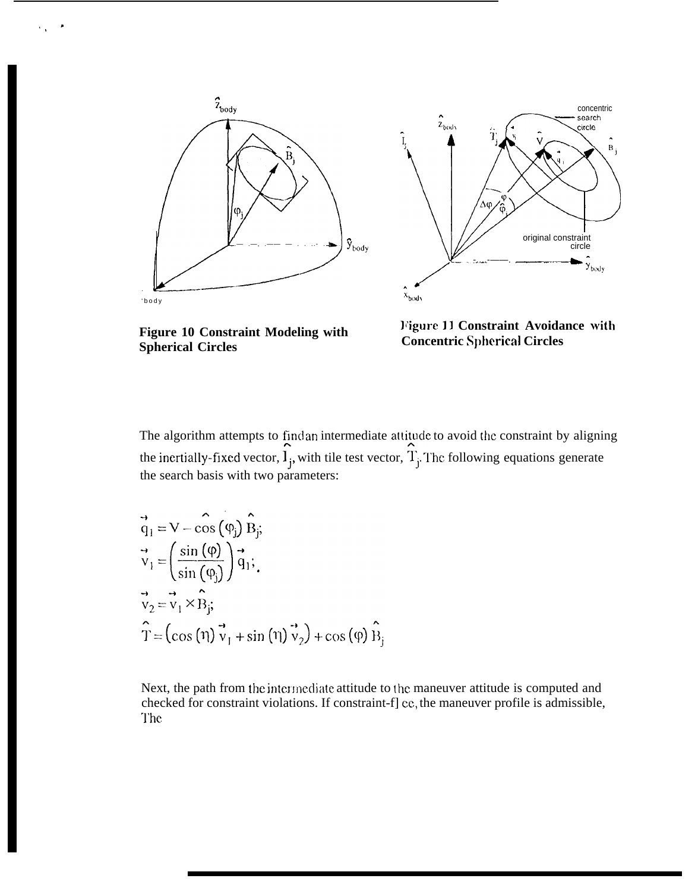



**Figure 10 Constraint Modeling with Spherical Circles** 

Figure 11 Constraint Avoidance with **Concentric Spherical Circles** 

The algorithm attempts to find an intermediate attitude to avoid the constraint by aligning the inertially-fixed vector,  $\hat{\mathbf{l}}_j$ , with tile test vector,  $\hat{\mathbf{l}}_j$ . The following equations generate the search basis with two parameters:

$$
\vec{q}_1 = V - \cos (\varphi_j) \hat{B}_j;
$$
  
\n
$$
\vec{v}_1 = \left(\frac{\sin (\varphi)}{\sin (\varphi_j)}\right) \vec{q}_1;
$$
  
\n
$$
\vec{v}_2 = \vec{v}_1 \times \hat{B}_j;
$$
  
\n
$$
\hat{T} = (\cos (\eta) \vec{v}_1 + \sin (\eta) \vec{v}_2) + \cos (\varphi) \hat{B}_j
$$

Next, the path from the intermediate attitude to the maneuver attitude is computed and checked for constraint violations. If constraint-f] ee, the maneuver profile is admissible, The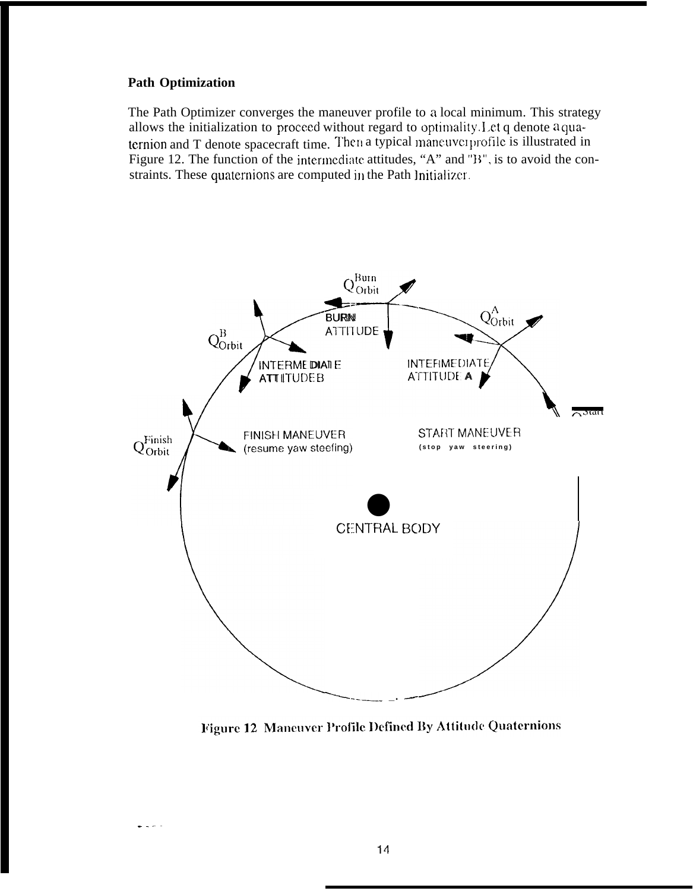## **Path Optimization**

The Path Optimizer converges the maneuver profile to a local minimum. This strategy allows the initialization to proceed without regard to optimality. Let q denote a quaternion and T denote spacecraft time. Then a typical maneuver profile is illustrated in Figure 12. The function of the intermediate attitudes, "A" and "B", is to avoid the constraints. These quaternions are computed in the Path Initializer.



Figure 12 Maneuver Profile Defined By Attitude Quaternions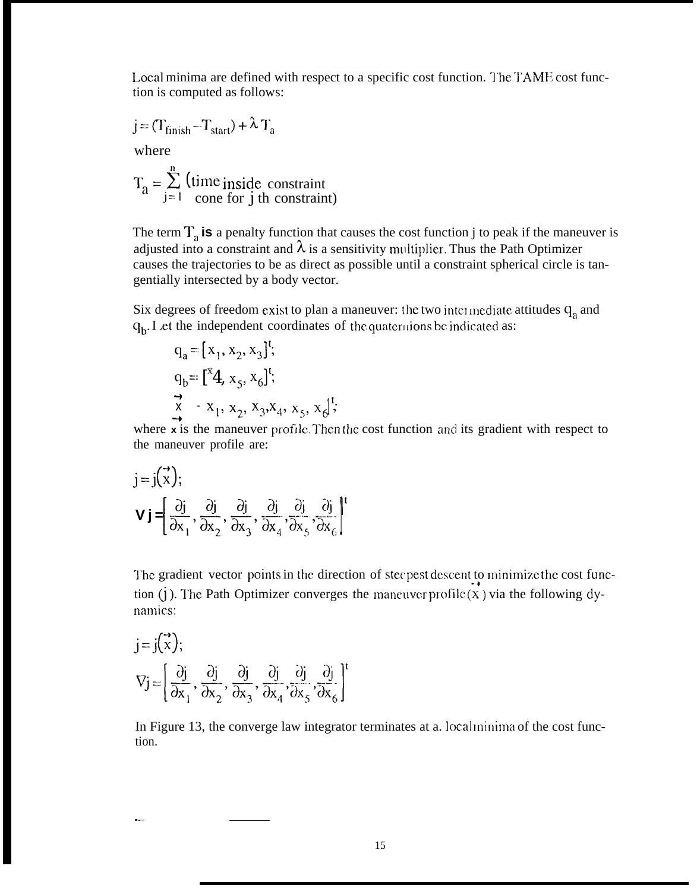Local minima are defined with respect to a specific cost function. The TAME cost function is computed as follows:

$$
j = (T_{\text{ finish}} - T_{\text{start}}) + \lambda T_a
$$

where

$$
T_a = \sum_{j=1}^{n} (time inside constraint)
$$

The term  $T_a$  is a penalty function that causes the cost function j to peak if the maneuver is adjusted into a constraint and  $\lambda$  is a sensitivity multiplier. Thus the Path Optimizer causes the trajectories to be as direct as possible until a constraint spherical circle is tangentially intersected by a body vector.

Six degrees of freedom exist to plan a maneuver: the two intermediate attitudes  $q_a$  and  $q<sub>b</sub>$ . I et the independent coordinates of the quaternions be indicated as:

$$
q_a = [x_1, x_2, x_3]^{t}
$$
  
\n
$$
q_b = [{}^{x}4, x_5, x_6]^{t}
$$
  
\n
$$
\overrightarrow{x} = x_1, x_2, x_3x_4, x_5, x_6]^{t}
$$

where x is the maneuver profile. Then the cost function and its gradient with respect to the maneuver profile are:

$$
j = j(\vec{x});
$$
  

$$
\mathbf{V} \mathbf{j} = \left[ \frac{\partial j}{\partial x_1}, \frac{\partial j}{\partial x_2}, \frac{\partial j}{\partial x_3}, \frac{\partial j}{\partial x_4}, \frac{\partial j}{\partial x_5}, \frac{\partial j}{\partial x_6} \right]^{\dagger}
$$

The gradient vector points in the direction of steepest descent to minimize the cost function (j). The Path Optimizer converges the maneuver profile  $(X)$  via the following dynamics:

$$
j = j(\vec{x});
$$
  
\n
$$
\nabla j = \left[ \frac{\partial j}{\partial x_1}, \frac{\partial j}{\partial x_2}, \frac{\partial j}{\partial x_3}, \frac{\partial j}{\partial x_4}, \frac{\partial j}{\partial x_5}, \frac{\partial j}{\partial x_6} \right]^T
$$

In Figure 13, the converge law integrator terminates at a. local minima of the cost function.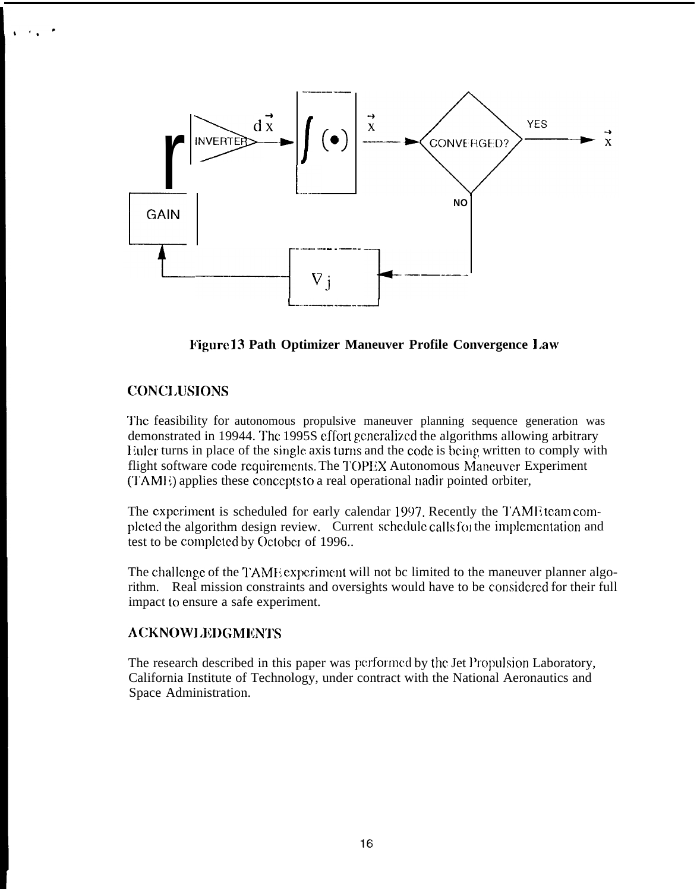

Figure 13 Path Optimizer Maneuver Profile Convergence Law

# **CONCLUSIONS**

The feasibility for autonomous propulsive maneuver planning sequence generation was demonstrated in 19944. The 1995S effort generalized the algorithms allowing arbitrary Euler turns in place of the single axis turns and the code is being written to comply with flight software code requirements. The TOPEX Autonomous Maneuver Experiment (TAME) applies these concepts to a real operational nadir pointed orbiter,

The experiment is scheduled for early calendar 1997. Recently the TAME team completed the algorithm design review. Current schedule calls for the implementation and test to be completed by October of 1996..

The challenge of the TAME experiment will not be limited to the maneuver planner algorithm. Real mission constraints and oversights would have to be considered for their full impact to ensure a safe experiment.

# **ACKNOWLEDGMENTS**

The research described in this paper was performed by the Jet Propulsion Laboratory, California Institute of Technology, under contract with the National Aeronautics and Space Administration.